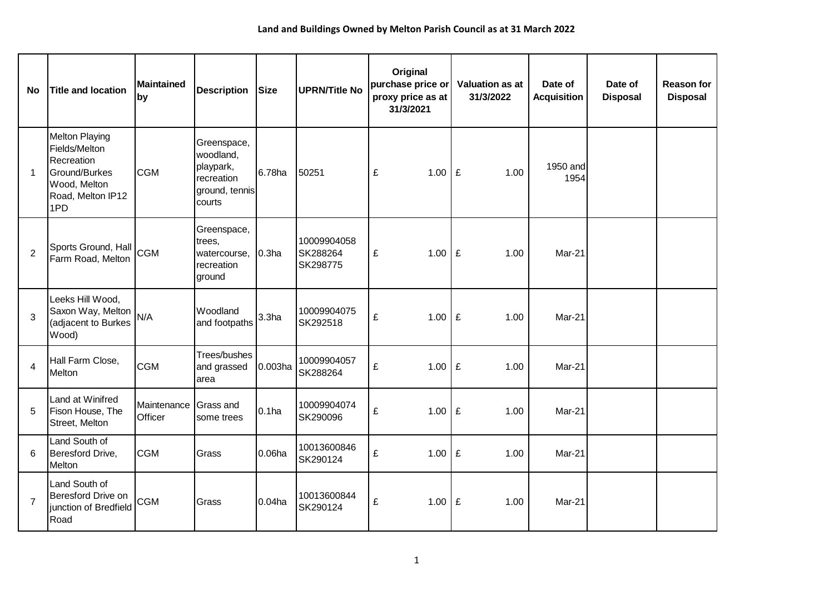| <b>No</b>      | <b>Title and location</b>                                                                                         | <b>Maintained</b><br>by | <b>Description</b>                                                              | <b>Size</b>       | <b>UPRN/Title No</b>                | Original<br>purchase price or<br>proxy price as at<br>31/3/2021 | <b>Valuation as at</b><br>31/3/2022 | Date of<br><b>Acquisition</b> | Date of<br><b>Disposal</b> | <b>Reason for</b><br><b>Disposal</b> |
|----------------|-------------------------------------------------------------------------------------------------------------------|-------------------------|---------------------------------------------------------------------------------|-------------------|-------------------------------------|-----------------------------------------------------------------|-------------------------------------|-------------------------------|----------------------------|--------------------------------------|
| $\mathbf{1}$   | <b>Melton Playing</b><br>Fields/Melton<br>Recreation<br>Ground/Burkes<br>Wood, Melton<br>Road, Melton IP12<br>1PD | <b>CGM</b>              | Greenspace,<br>woodland,<br>playpark,<br>recreation<br>ground, tennis<br>courts | 6.78ha            | 50251                               | £<br>1.00                                                       | £<br>1.00                           | 1950 and<br>1954              |                            |                                      |
| $\overline{2}$ | Sports Ground, Hall CGM<br>Farm Road, Melton                                                                      |                         | Greenspace,<br>trees,<br>watercourse,<br>recreation<br>ground                   | 0.3 <sub>ha</sub> | 10009904058<br>SK288264<br>SK298775 | £<br>1.00                                                       | E<br>1.00                           | Mar-21                        |                            |                                      |
| 3              | Leeks Hill Wood,<br>Saxon Way, Melton<br>(adjacent to Burkes<br>Wood)                                             | N/A                     | Woodland<br>and footpaths                                                       | 3.3 <sub>ha</sub> | 10009904075<br>SK292518             | £<br>1.00                                                       | E<br>1.00                           | Mar-21                        |                            |                                      |
| $\overline{4}$ | Hall Farm Close,<br>Melton                                                                                        | <b>CGM</b>              | Trees/bushes<br>and grassed<br>area                                             | 0.003ha           | 10009904057<br>SK288264             | £<br>1.00                                                       | £<br>1.00                           | Mar-21                        |                            |                                      |
| 5              | Land at Winifred<br>Fison House, The<br>Street, Melton                                                            | Maintenance<br>Officer  | <b>Grass and</b><br>some trees                                                  | 0.1 <sub>ha</sub> | 10009904074<br>SK290096             | £<br>1.00                                                       | £<br>1.00                           | Mar-21                        |                            |                                      |
| 6              | Land South of<br>Beresford Drive,<br>Melton                                                                       | <b>CGM</b>              | Grass                                                                           | $0.06$ ha         | 10013600846<br>SK290124             | £<br>1.00                                                       | £<br>1.00                           | Mar-21                        |                            |                                      |
| $\overline{7}$ | Land South of<br>Beresford Drive on<br>junction of Bredfield<br>Road                                              | <b>CGM</b>              | Grass                                                                           | 0.04ha            | 10013600844<br>SK290124             | £<br>1.00                                                       | £<br>1.00                           | Mar-21                        |                            |                                      |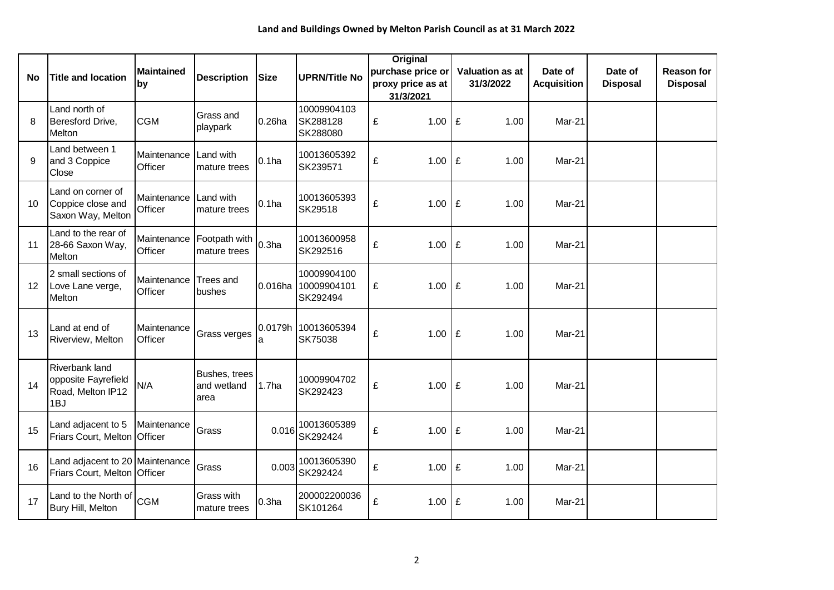|    |                                                                          | <b>Maintained</b><br>by | <b>Description</b>                   | <b>Size</b>       | <b>UPRN/Title No</b>                   | <b>Original</b><br>purchase price or |  | <b>Valuation as at</b> | Date of            | Date of         | <b>Reason for</b> |
|----|--------------------------------------------------------------------------|-------------------------|--------------------------------------|-------------------|----------------------------------------|--------------------------------------|--|------------------------|--------------------|-----------------|-------------------|
| No | <b>Title and location</b>                                                |                         |                                      |                   |                                        | proxy price as at<br>31/3/2021       |  | 31/3/2022              | <b>Acquisition</b> | <b>Disposal</b> | <b>Disposal</b>   |
| 8  | Land north of<br>Beresford Drive,<br>Melton                              | <b>CGM</b>              | Grass and<br>playpark                | $0.26$ ha         | 10009904103<br>SK288128<br>SK288080    | 1.00<br>£                            |  | £<br>1.00              | Mar-21             |                 |                   |
| 9  | Land between 1<br>and 3 Coppice<br>Close                                 | Maintenance<br>Officer  | Land with<br>mature trees            | 0.1 <sub>ha</sub> | 10013605392<br>SK239571                | £<br>1.00                            |  | £<br>1.00              | Mar-21             |                 |                   |
| 10 | Land on corner of<br>Coppice close and<br>Saxon Way, Melton              | Maintenance<br>Officer  | Land with<br>mature trees            | $0.1$ ha          | 10013605393<br>SK29518                 | £<br>1.00                            |  | £<br>1.00              | Mar-21             |                 |                   |
| 11 | Land to the rear of<br>28-66 Saxon Way,<br>Melton                        | Maintenance<br>Officer  | Footpath with<br>mature trees        | 0.3 <sub>ha</sub> | 10013600958<br>SK292516                | £<br>1.00                            |  | £<br>1.00              | Mar-21             |                 |                   |
| 12 | 2 small sections of<br>Love Lane verge,<br>Melton                        | Maintenance<br>Officer  | <b>Trees and</b><br>bushes           | 0.016ha           | 10009904100<br>10009904101<br>SK292494 | £<br>1.00                            |  | £<br>1.00              | Mar-21             |                 |                   |
| 13 | Land at end of<br>Riverview, Melton                                      | Maintenance<br>Officer  | Grass verges                         | a                 | 0.0179h 10013605394<br>SK75038         | £<br>1.00                            |  | £<br>1.00              | Mar-21             |                 |                   |
| 14 | <b>Riverbank land</b><br>opposite Fayrefield<br>Road, Melton IP12<br>1BJ | N/A                     | Bushes, trees<br>and wetland<br>area | 1.7 <sub>ha</sub> | 10009904702<br>SK292423                | £<br>1.00                            |  | £<br>1.00              | Mar-21             |                 |                   |
| 15 | Land adjacent to 5<br>Friars Court, Melton Officer                       | Maintenance             | Grass                                | 0.016             | 10013605389<br>SK292424                | £<br>1.00                            |  | £<br>1.00              | Mar-21             |                 |                   |
| 16 | Land adjacent to 20 Maintenance<br>Friars Court, Melton Officer          |                         | Grass                                | 0.003             | 10013605390<br>SK292424                | £<br>1.00                            |  | £<br>1.00              | Mar-21             |                 |                   |
| 17 | Land to the North of<br>Bury Hill, Melton                                | <b>CGM</b>              | Grass with<br>mature trees           | 0.3 <sub>ha</sub> | 200002200036<br>SK101264               | £<br>1.00                            |  | £<br>1.00              | Mar-21             |                 |                   |